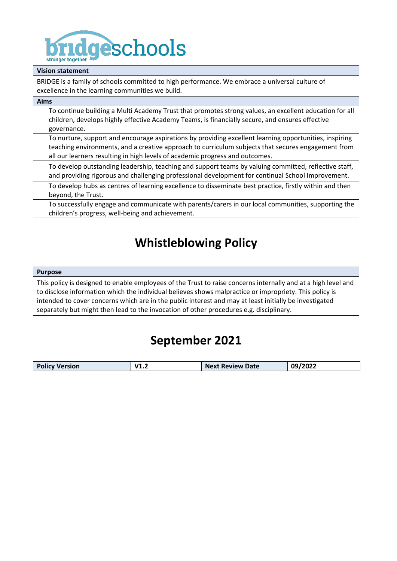

| <b>Vision statement</b>                                                                                                                                                                                                                                                                      |
|----------------------------------------------------------------------------------------------------------------------------------------------------------------------------------------------------------------------------------------------------------------------------------------------|
| BRIDGE is a family of schools committed to high performance. We embrace a universal culture of<br>excellence in the learning communities we build.                                                                                                                                           |
| <b>Aims</b>                                                                                                                                                                                                                                                                                  |
| To continue building a Multi Academy Trust that promotes strong values, an excellent education for all<br>children, develops highly effective Academy Teams, is financially secure, and ensures effective<br>governance.                                                                     |
| To nurture, support and encourage aspirations by providing excellent learning opportunities, inspiring<br>teaching environments, and a creative approach to curriculum subjects that secures engagement from<br>all our learners resulting in high levels of academic progress and outcomes. |
| To develop outstanding leadership, teaching and support teams by valuing committed, reflective staff,<br>and providing rigorous and challenging professional development for continual School Improvement.                                                                                   |
| To develop hubs as centres of learning excellence to disseminate best practice, firstly within and then<br>beyond, the Trust.                                                                                                                                                                |
| To successfully engage and communicate with parents/carers in our local communities, supporting the<br>children's progress, well-being and achievement.                                                                                                                                      |

# **Whistleblowing Policy**

#### **Purpose**

This policy is designed to enable employees of the Trust to raise concerns internally and at a high level and to disclose information which the individual believes shows malpractice or impropriety. This policy is intended to cover concerns which are in the public interest and may at least initially be investigated separately but might then lead to the invocation of other procedures e.g. disciplinary.

# **September 2021**

| 09/2022<br>1/17<br><b>Next Review Date</b><br><b>Policy Version</b><br>. |  |
|--------------------------------------------------------------------------|--|
|--------------------------------------------------------------------------|--|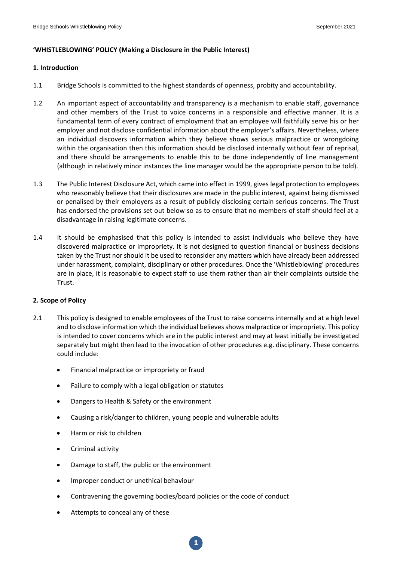#### **'WHISTLEBLOWING' POLICY (Making a Disclosure in the Public Interest)**

#### **1. Introduction**

- 1.1 Bridge Schools is committed to the highest standards of openness, probity and accountability.
- 1.2 An important aspect of accountability and transparency is a mechanism to enable staff, governance and other members of the Trust to voice concerns in a responsible and effective manner. It is a fundamental term of every contract of employment that an employee will faithfully serve his or her employer and not disclose confidential information about the employer's affairs. Nevertheless, where an individual discovers information which they believe shows serious malpractice or wrongdoing within the organisation then this information should be disclosed internally without fear of reprisal, and there should be arrangements to enable this to be done independently of line management (although in relatively minor instances the line manager would be the appropriate person to be told).
- 1.3 The Public Interest Disclosure Act, which came into effect in 1999, gives legal protection to employees who reasonably believe that their disclosures are made in the public interest, against being dismissed or penalised by their employers as a result of publicly disclosing certain serious concerns. The Trust has endorsed the provisions set out below so as to ensure that no members of staff should feel at a disadvantage in raising legitimate concerns.
- 1.4 It should be emphasised that this policy is intended to assist individuals who believe they have discovered malpractice or impropriety. It is not designed to question financial or business decisions taken by the Trust nor should it be used to reconsider any matters which have already been addressed under harassment, complaint, disciplinary or other procedures. Once the 'Whistleblowing' procedures are in place, it is reasonable to expect staff to use them rather than air their complaints outside the Trust.

# **2. Scope of Policy**

- 2.1 This policy is designed to enable employees of the Trust to raise concerns internally and at a high level and to disclose information which the individual believes shows malpractice or impropriety. This policy is intended to cover concerns which are in the public interest and may at least initially be investigated separately but might then lead to the invocation of other procedures e.g. disciplinary. These concerns could include:
	- Financial malpractice or impropriety or fraud
	- Failure to comply with a legal obligation or statutes
	- Dangers to Health & Safety or the environment
	- Causing a risk/danger to children, young people and vulnerable adults
	- Harm or risk to children
	- Criminal activity
	- Damage to staff, the public or the environment
	- Improper conduct or unethical behaviour
	- Contravening the governing bodies/board policies or the code of conduct

**1**

Attempts to conceal any of these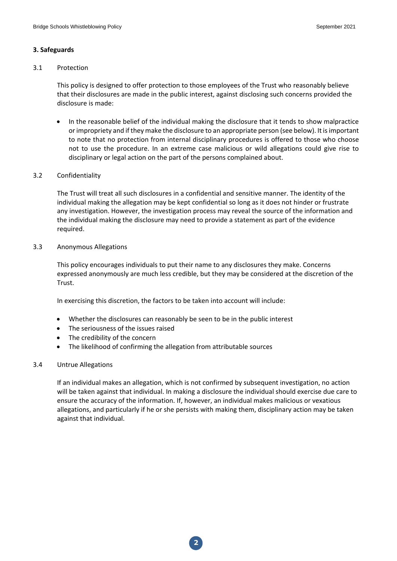#### **3. Safeguards**

#### 3.1 Protection

This policy is designed to offer protection to those employees of the Trust who reasonably believe that their disclosures are made in the public interest, against disclosing such concerns provided the disclosure is made:

 In the reasonable belief of the individual making the disclosure that it tends to show malpractice or impropriety and if they make the disclosure to an appropriate person (see below). It is important to note that no protection from internal disciplinary procedures is offered to those who choose not to use the procedure. In an extreme case malicious or wild allegations could give rise to disciplinary or legal action on the part of the persons complained about.

# 3.2 Confidentiality

The Trust will treat all such disclosures in a confidential and sensitive manner. The identity of the individual making the allegation may be kept confidential so long as it does not hinder or frustrate any investigation. However, the investigation process may reveal the source of the information and the individual making the disclosure may need to provide a statement as part of the evidence required.

#### 3.3 Anonymous Allegations

This policy encourages individuals to put their name to any disclosures they make. Concerns expressed anonymously are much less credible, but they may be considered at the discretion of the Trust.

In exercising this discretion, the factors to be taken into account will include:

- Whether the disclosures can reasonably be seen to be in the public interest
- The seriousness of the issues raised
- The credibility of the concern
- The likelihood of confirming the allegation from attributable sources

# 3.4 Untrue Allegations

If an individual makes an allegation, which is not confirmed by subsequent investigation, no action will be taken against that individual. In making a disclosure the individual should exercise due care to ensure the accuracy of the information. If, however, an individual makes malicious or vexatious allegations, and particularly if he or she persists with making them, disciplinary action may be taken against that individual.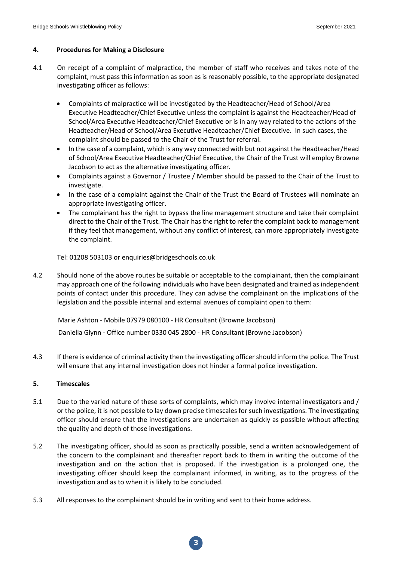#### **4. Procedures for Making a Disclosure**

- 4.1 On receipt of a complaint of malpractice, the member of staff who receives and takes note of the complaint, must pass this information as soon as is reasonably possible, to the appropriate designated investigating officer as follows:
	- Complaints of malpractice will be investigated by the Headteacher/Head of School/Area Executive Headteacher/Chief Executive unless the complaint is against the Headteacher/Head of School/Area Executive Headteacher/Chief Executive or is in any way related to the actions of the Headteacher/Head of School/Area Executive Headteacher/Chief Executive. In such cases, the complaint should be passed to the Chair of the Trust for referral.
	- In the case of a complaint, which is any way connected with but not against the Headteacher/Head of School/Area Executive Headteacher/Chief Executive, the Chair of the Trust will employ Browne Jacobson to act as the alternative investigating officer.
	- Complaints against a Governor / Trustee / Member should be passed to the Chair of the Trust to investigate.
	- In the case of a complaint against the Chair of the Trust the Board of Trustees will nominate an appropriate investigating officer.
	- The complainant has the right to bypass the line management structure and take their complaint direct to the Chair of the Trust. The Chair has the right to refer the complaint back to management if they feel that management, without any conflict of interest, can more appropriately investigate the complaint.

Tel: 01208 503103 or enquiries@bridgeschools.co.uk

4.2 Should none of the above routes be suitable or acceptable to the complainant, then the complainant may approach one of the following individuals who have been designated and trained as independent points of contact under this procedure. They can advise the complainant on the implications of the legislation and the possible internal and external avenues of complaint open to them:

Marie Ashton - Mobile 07979 080100 - HR Consultant (Browne Jacobson)

Daniella Glynn - Office number 0330 045 2800 - HR Consultant (Browne Jacobson)

4.3 If there is evidence of criminal activity then the investigating officer should inform the police. The Trust will ensure that any internal investigation does not hinder a formal police investigation.

# **5. Timescales**

- 5.1 Due to the varied nature of these sorts of complaints, which may involve internal investigators and / or the police, it is not possible to lay down precise timescales for such investigations. The investigating officer should ensure that the investigations are undertaken as quickly as possible without affecting the quality and depth of those investigations.
- 5.2 The investigating officer, should as soon as practically possible, send a written acknowledgement of the concern to the complainant and thereafter report back to them in writing the outcome of the investigation and on the action that is proposed. If the investigation is a prolonged one, the investigating officer should keep the complainant informed, in writing, as to the progress of the investigation and as to when it is likely to be concluded.
- 5.3 All responses to the complainant should be in writing and sent to their home address.